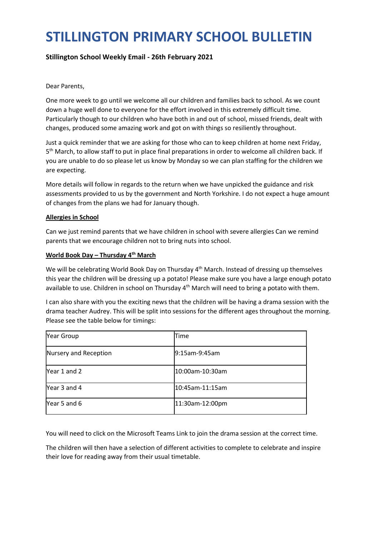# STILLINGTON PRIMARY SCHOOL BULLETIN

# Stillington School Weekly Email - 26th February 2021

## Dear Parents,

One more week to go until we welcome all our children and families back to school. As we count down a huge well done to everyone for the effort involved in this extremely difficult time. Particularly though to our children who have both in and out of school, missed friends, dealt with changes, produced some amazing work and got on with things so resiliently throughout.

Just a quick reminder that we are asking for those who can to keep children at home next Friday, 5<sup>th</sup> March, to allow staff to put in place final preparations in order to welcome all children back. If you are unable to do so please let us know by Monday so we can plan staffing for the children we are expecting.

More details will follow in regards to the return when we have unpicked the guidance and risk assessments provided to us by the government and North Yorkshire. I do not expect a huge amount of changes from the plans we had for January though.

## Allergies in School

Can we just remind parents that we have children in school with severe allergies Can we remind parents that we encourage children not to bring nuts into school.

## World Book Day - Thursday 4<sup>th</sup> March

We will be celebrating World Book Day on Thursday 4<sup>th</sup> March. Instead of dressing up themselves this year the children will be dressing up a potato! Please make sure you have a large enough potato available to use. Children in school on Thursday  $4<sup>th</sup>$  March will need to bring a potato with them.

I can also share with you the exciting news that the children will be having a drama session with the drama teacher Audrey. This will be split into sessions for the different ages throughout the morning. Please see the table below for timings:

| Year Group            | lTime           |
|-----------------------|-----------------|
| Nursery and Reception | l9:15am-9:45am  |
| Year 1 and 2          | 10:00am-10:30am |
| Year 3 and 4          | 10:45am-11:15am |
| Year 5 and 6          | 11:30am-12:00pm |

You will need to click on the Microsoft Teams Link to join the drama session at the correct time.

The children will then have a selection of different activities to complete to celebrate and inspire their love for reading away from their usual timetable.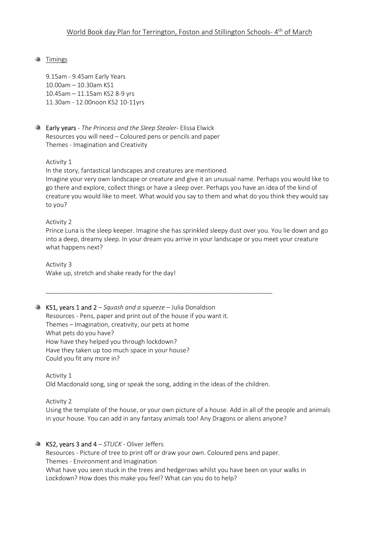# **Timings**

9.15am - 9.45am Early Years 10.00am – 10.30am KS1 10.45am – 11.15am KS2 8-9 yrs 11.30am - 12.00noon KS2 10-11yrs



**Early years** - The Princess and the Sleep Stealer- Elissa Elwick Resources you will need – Coloured pens or pencils and paper Themes - Imagination and Creativity

## Activity 1

In the story, fantastical landscapes and creatures are mentioned.

Imagine your very own landscape or creature and give it an unusual name. Perhaps you would like to go there and explore, collect things or have a sleep over. Perhaps you have an idea of the kind of creature you would like to meet. What would you say to them and what do you think they would say to you?

## Activity 2

Prince Luna is the sleep keeper. Imagine she has sprinkled sleepy dust over you. You lie down and go into a deep, dreamy sleep. In your dream you arrive in your landscape or you meet your creature what happens next?

Activity 3 Wake up, stretch and shake ready for the day!

## KS1, years 1 and  $2 -$  Squash and a squeeze – Julia Donaldson

Resources - Pens, paper and print out of the house if you want it. Themes – Imagination, creativity, our pets at home What pets do you have? How have they helped you through lockdown? Have they taken up too much space in your house? Could you fit any more in?

Activity 1 Old Macdonald song, sing or speak the song, adding in the ideas of the children.

\_\_\_\_\_\_\_\_\_\_\_\_\_\_\_\_\_\_\_\_\_\_\_\_\_\_\_\_\_\_\_\_\_\_\_\_\_\_\_\_\_\_\_\_\_\_\_\_\_\_\_\_\_\_\_\_\_\_\_\_\_\_\_\_\_

Activity 2

Using the template of the house, or your own picture of a house. Add in all of the people and animals in your house. You can add in any fantasy animals too! Any Dragons or aliens anyone?

## KS2, years 3 and  $4 - STUCK - Oliver$  Jeffers

Resources - Picture of tree to print off or draw your own. Coloured pens and paper. Themes - Environment and Imagination What have you seen stuck in the trees and hedgerows whilst you have been on your walks in Lockdown? How does this make you feel? What can you do to help?